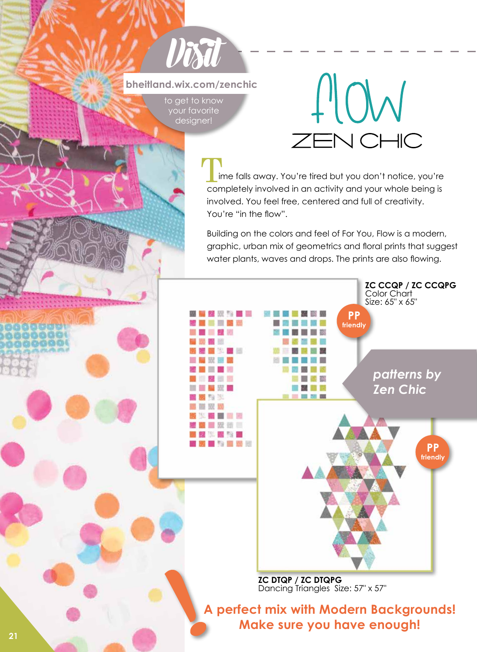# **Visit bheitland.wix.com/zenchic**

to get to know your favorite designer!



# T<sub>ir</sub>

 ime falls away. You're tired but you don't notice, you're completely involved in an activity and your whole being is involved. You feel free, centered and full of creativity. You're "in the flow".

Building on the colors and feel of For You, Flow is a modern, graphic, urban mix of geometrics and floral prints that suggest water plants, waves and drops. The prints are also flowing.



**A perfect mix with Modern Backgrounds! Make sure you have enough!**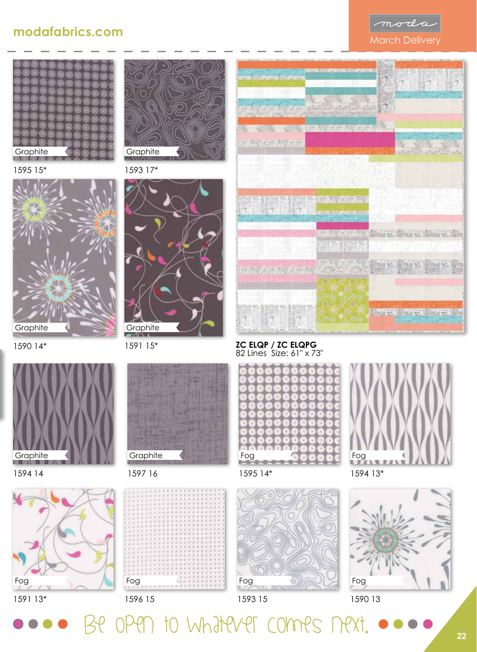









1594 14

1591 13\*

Fog

**Graphite** 





1590 14\*



1591 15\* **Graphite** 





1593 15

to Whatever commes nex

Fog

















### **ZC ELQP / ZC ELQPG**







1596 15

Fog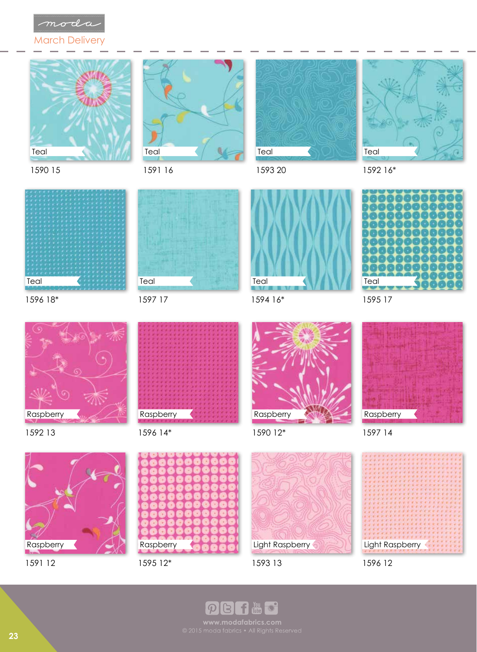

March Delivery









1593 20

1594 16\*

Teal

1592 16\*

1595 17

Teal



1596 18\*

1590 15



1592 13



1596 14\*

1597 17

Teal







Raspberry

1597 14





1591 12



1595 12\*



Light Raspberry

1596 12

 $\bigcap_{i=1}^{N_{\text{OU}}}$  $\mathcal{P}$ B  $\bigcirc$ 

**23**